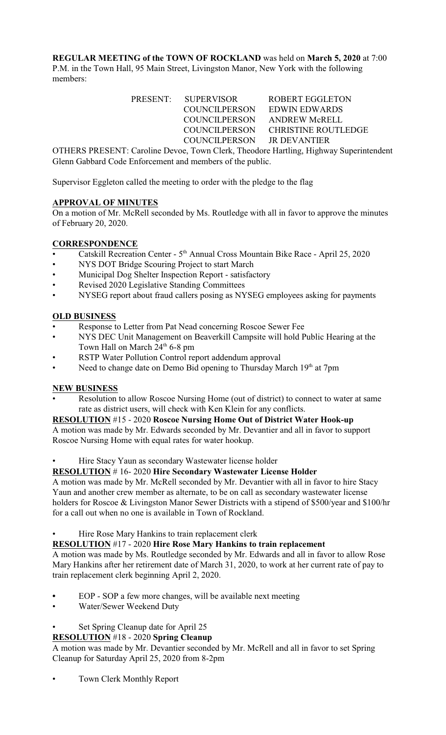**REGULAR MEETING of the TOWN OF ROCKLAND** was held on **March 5, 2020** at 7:00 P.M. in the Town Hall, 95 Main Street, Livingston Manor, New York with the following members:

> PRESENT: SUPERVISOR ROBERT EGGLETON COUNCILPERSON EDWIN EDWARDS COUNCILPERSON ANDREW McRELL COUNCILPERSON CHRISTINE ROUTLEDGE COUNCILPERSON JR DEVANTIER

OTHERS PRESENT: Caroline Devoe, Town Clerk, Theodore Hartling, Highway Superintendent Glenn Gabbard Code Enforcement and members of the public.

Supervisor Eggleton called the meeting to order with the pledge to the flag

# **APPROVAL OF MINUTES**

On a motion of Mr. McRell seconded by Ms. Routledge with all in favor to approve the minutes of February 20, 2020.

# **CORRESPONDENCE**

- Catskill Recreation Center 5<sup>th</sup> Annual Cross Mountain Bike Race April 25, 2020
- NYS DOT Bridge Scouring Project to start March
- Municipal Dog Shelter Inspection Report satisfactory
- Revised 2020 Legislative Standing Committees
- NYSEG report about fraud callers posing as NYSEG employees asking for payments

## **OLD BUSINESS**

- Response to Letter from Pat Nead concerning Roscoe Sewer Fee
- NYS DEC Unit Management on Beaverkill Campsite will hold Public Hearing at the Town Hall on March  $24<sup>th</sup>$  6-8 pm
- RSTP Water Pollution Control report addendum approval
- Need to change date on Demo Bid opening to Thursday March  $19<sup>th</sup>$  at 7pm

### **NEW BUSINESS**

Resolution to allow Roscoe Nursing Home (out of district) to connect to water at same rate as district users, will check with Ken Klein for any conflicts.

### **RESOLUTION** #15 - 2020 **Roscoe Nursing Home Out of District Water Hook-up**

A motion was made by Mr. Edwards seconded by Mr. Devantier and all in favor to support Roscoe Nursing Home with equal rates for water hookup.

Hire Stacy Yaun as secondary Wastewater license holder

### **RESOLUTION** # 16- 2020 **Hire Secondary Wastewater License Holder**

A motion was made by Mr. McRell seconded by Mr. Devantier with all in favor to hire Stacy Yaun and another crew member as alternate, to be on call as secondary wastewater license holders for Roscoe & Livingston Manor Sewer Districts with a stipend of \$500/year and \$100/hr for a call out when no one is available in Town of Rockland.

Hire Rose Mary Hankins to train replacement clerk

### **RESOLUTION** #17 - 2020 **Hire Rose Mary Hankins to train replacement**

A motion was made by Ms. Routledge seconded by Mr. Edwards and all in favor to allow Rose Mary Hankins after her retirement date of March 31, 2020, to work at her current rate of pay to train replacement clerk beginning April 2, 2020.

- **•** EOP SOP a few more changes, will be available next meeting
- Water/Sewer Weekend Duty

# • Set Spring Cleanup date for April 25

# **RESOLUTION** #18 - 2020 **Spring Cleanup**

A motion was made by Mr. Devantier seconded by Mr. McRell and all in favor to set Spring Cleanup for Saturday April 25, 2020 from 8-2pm

• Town Clerk Monthly Report